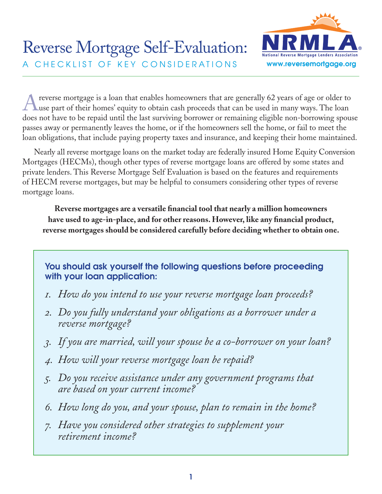

A reverse mortgage is a loan that enables homeowners that are generally 62 years of age or older to used in many ways. The loan does not have to be repaid until the last surviving borrower or remaining eligible non-borrowing spouse passes away or permanently leaves the home, or if the homeowners sell the home, or fail to meet the loan obligations, that include paying property taxes and insurance, and keeping their home maintained.

Nearly all reverse mortgage loans on the market today are federally insured Home Equity Conversion Mortgages (HECMs), though other types of reverse mortgage loans are offered by some states and private lenders. This Reverse Mortgage Self Evaluation is based on the features and requirements of HECM reverse mortgages, but may be helpful to consumers considering other types of reverse mortgage loans.

**Reverse mortgages are a versatile financial tool that nearly a million homeowners have used to age-in-place, and for other reasons. However, like any financial product, reverse mortgages should be considered carefully before deciding whether to obtain one.** 

# You should ask yourself the following questions before proceeding with your loan application:

- *1. How do you intend to use your reverse mortgage loan proceeds?*
- *2. Do you fully understand your obligations as a borrower under a reverse mortgage?*
- *3. If you are married, will your spouse be a co-borrower on your loan?*
- *4. How will your reverse mortgage loan be repaid?*
- *5. Do you receive assistance under any government programs that are based on your current income?*
- *6. How long do you, and your spouse, plan to remain in the home?*
- *7. Have you considered other strategies to supplement your retirement income?*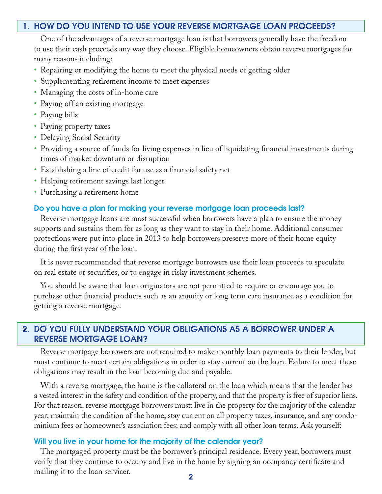### 1. HOW DO YOU INTEND TO USE YOUR REVERSE MORTGAGE LOAN PROCEEDS?

One of the advantages of a reverse mortgage loan is that borrowers generally have the freedom to use their cash proceeds any way they choose. Eligible homeowners obtain reverse mortgages for many reasons including:

- Repairing or modifying the home to meet the physical needs of getting older
- Supplementing retirement income to meet expenses
- Managing the costs of in-home care
- Paying off an existing mortgage
- Paying bills
- Paying property taxes
- Delaying Social Security
- Providing a source of funds for living expenses in lieu of liquidating financial investments during times of market downturn or disruption
- Establishing a line of credit for use as a financial safety net
- Helping retirement savings last longer
- Purchasing a retirement home

#### Do you have a plan for making your reverse mortgage loan proceeds last?

Reverse mortgage loans are most successful when borrowers have a plan to ensure the money supports and sustains them for as long as they want to stay in their home. Additional consumer protections were put into place in 2013 to help borrowers preserve more of their home equity during the first year of the loan.

It is never recommended that reverse mortgage borrowers use their loan proceeds to speculate on real estate or securities, or to engage in risky investment schemes.

You should be aware that loan originators are not permitted to require or encourage you to purchase other financial products such as an annuity or long term care insurance as a condition for getting a reverse mortgage.

## 2. DO YOU FULLY UNDERSTAND YOUR OBLIGATIONS AS A BORROWER UNDER A REVERSE MORTGAGE LOAN?

Reverse mortgage borrowers are not required to make monthly loan payments to their lender, but must continue to meet certain obligations in order to stay current on the loan. Failure to meet these obligations may result in the loan becoming due and payable.

With a reverse mortgage, the home is the collateral on the loan which means that the lender has a vested interest in the safety and condition of the property, and that the property is free of superior liens. For that reason, reverse mortgage borrowers must: live in the property for the majority of the calendar year; maintain the condition of the home; stay current on all property taxes, insurance, and any condominium fees or homeowner's association fees; and comply with all other loan terms. Ask yourself:

#### Will you live in your home for the majority of the calendar year?

The mortgaged property must be the borrower's principal residence. Every year, borrowers must verify that they continue to occupy and live in the home by signing an occupancy certificate and mailing it to the loan servicer.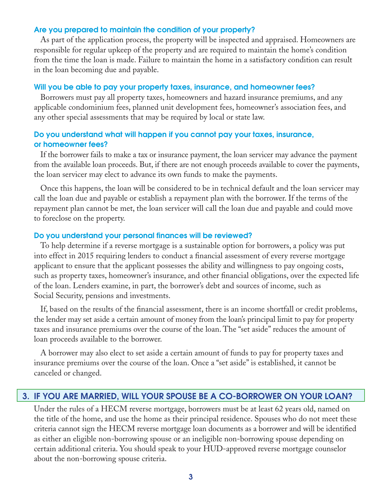### Are you prepared to maintain the condition of your property?

As part of the application process, the property will be inspected and appraised. Homeowners are responsible for regular upkeep of the property and are required to maintain the home's condition from the time the loan is made. Failure to maintain the home in a satisfactory condition can result in the loan becoming due and payable.

#### Will you be able to pay your property taxes, insurance, and homeowner fees?

Borrowers must pay all property taxes, homeowners and hazard insurance premiums, and any applicable condominium fees, planned unit development fees, homeowner's association fees, and any other special assessments that may be required by local or state law.

## Do you understand what will happen if you cannot pay your taxes, insurance, or homeowner fees?

If the borrower fails to make a tax or insurance payment, the loan servicer may advance the payment from the available loan proceeds. But, if there are not enough proceeds available to cover the payments, the loan servicer may elect to advance its own funds to make the payments.

Once this happens, the loan will be considered to be in technical default and the loan servicer may call the loan due and payable or establish a repayment plan with the borrower. If the terms of the repayment plan cannot be met, the loan servicer will call the loan due and payable and could move to foreclose on the property.

#### Do you understand your personal finances will be reviewed?

To help determine if a reverse mortgage is a sustainable option for borrowers, a policy was put into effect in 2015 requiring lenders to conduct a financial assessment of every reverse mortgage applicant to ensure that the applicant possesses the ability and willingness to pay ongoing costs, such as property taxes, homeowner's insurance, and other financial obligations, over the expected life of the loan. Lenders examine, in part, the borrower's debt and sources of income, such as Social Security, pensions and investments.

If, based on the results of the financial assessment, there is an income shortfall or credit problems, the lender may set aside a certain amount of money from the loan's principal limit to pay for property taxes and insurance premiums over the course of the loan. The "set aside" reduces the amount of loan proceeds available to the borrower.

A borrower may also elect to set aside a certain amount of funds to pay for property taxes and insurance premiums over the course of the loan. Once a "set aside" is established, it cannot be canceled or changed.

### 3. IF YOU ARE MARRIED, WILL YOUR SPOUSE BE A CO-BORROWER ON YOUR LOAN?

Under the rules of a HECM reverse mortgage, borrowers must be at least 62 years old, named on the title of the home, and use the home as their principal residence. Spouses who do not meet these criteria cannot sign the HECM reverse mortgage loan documents as a borrower and will be identified as either an eligible non-borrowing spouse or an ineligible non-borrowing spouse depending on certain additional criteria. You should speak to your HUD-approved reverse mortgage counselor about the non-borrowing spouse criteria.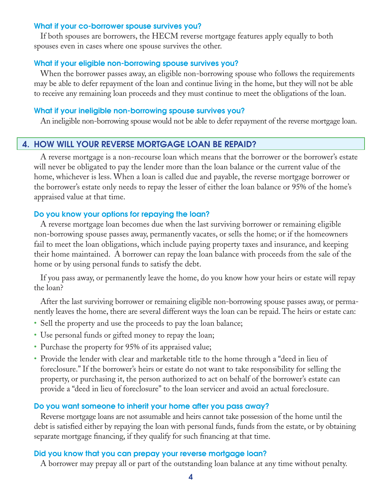### What if your co-borrower spouse survives you?

If both spouses are borrowers, the HECM reverse mortgage features apply equally to both spouses even in cases where one spouse survives the other.

### What if your eligible non-borrowing spouse survives you?

When the borrower passes away, an eligible non-borrowing spouse who follows the requirements may be able to defer repayment of the loan and continue living in the home, but they will not be able to receive any remaining loan proceeds and they must continue to meet the obligations of the loan.

### What if your ineligible non-borrowing spouse survives you?

An ineligible non-borrowing spouse would not be able to defer repayment of the reverse mortgage loan.

## 4. HOW WILL YOUR REVERSE MORTGAGE LOAN BE REPAID?

A reverse mortgage is a non-recourse loan which means that the borrower or the borrower's estate will never be obligated to pay the lender more than the loan balance or the current value of the home, whichever is less. When a loan is called due and payable, the reverse mortgage borrower or the borrower's estate only needs to repay the lesser of either the loan balance or 95% of the home's appraised value at that time.

## Do you know your options for repaying the loan?

A reverse mortgage loan becomes due when the last surviving borrower or remaining eligible non-borrowing spouse passes away, permanently vacates, or sells the home; or if the homeowners fail to meet the loan obligations, which include paying property taxes and insurance, and keeping their home maintained. A borrower can repay the loan balance with proceeds from the sale of the home or by using personal funds to satisfy the debt.

If you pass away, or permanently leave the home, do you know how your heirs or estate will repay the loan?

After the last surviving borrower or remaining eligible non-borrowing spouse passes away, or permanently leaves the home, there are several different ways the loan can be repaid. The heirs or estate can:

- Sell the property and use the proceeds to pay the loan balance;
- Use personal funds or gifted money to repay the loan;
- Purchase the property for 95% of its appraised value;
- Provide the lender with clear and marketable title to the home through a "deed in lieu of foreclosure." If the borrower's heirs or estate do not want to take responsibility for selling the property, or purchasing it, the person authorized to act on behalf of the borrower's estate can provide a "deed in lieu of foreclosure" to the loan servicer and avoid an actual foreclosure.

### Do you want someone to inherit your home after you pass away?

Reverse mortgage loans are not assumable and heirs cannot take possession of the home until the debt is satisfied either by repaying the loan with personal funds, funds from the estate, or by obtaining separate mortgage financing, if they qualify for such financing at that time.

### Did you know that you can prepay your reverse mortgage loan?

A borrower may prepay all or part of the outstanding loan balance at any time without penalty.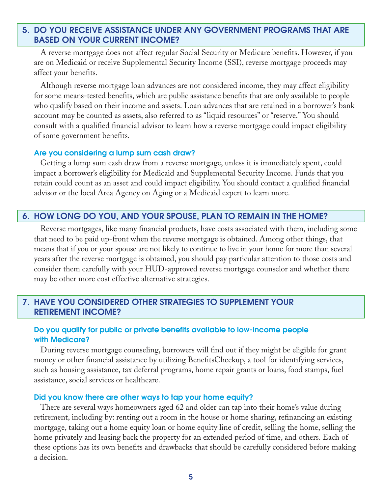## 5. DO YOU RECEIVE ASSISTANCE UNDER ANY GOVERNMENT PROGRAMS THAT ARE BASED ON YOUR CURRENT INCOME?

A reverse mortgage does not affect regular Social Security or Medicare benefits. However, if you are on Medicaid or receive Supplemental Security Income (SSI), reverse mortgage proceeds may affect your benefits.

Although reverse mortgage loan advances are not considered income, they may affect eligibility for some means-tested benefits, which are public assistance benefits that are only available to people who qualify based on their income and assets. Loan advances that are retained in a borrower's bank account may be counted as assets, also referred to as "liquid resources" or "reserve." You should consult with a qualified financial advisor to learn how a reverse mortgage could impact eligibility of some government benefits.

### Are you considering a lump sum cash draw?

Getting a lump sum cash draw from a reverse mortgage, unless it is immediately spent, could impact a borrower's eligibility for Medicaid and Supplemental Security Income. Funds that you retain could count as an asset and could impact eligibility. You should contact a qualified financial advisor or the local Area Agency on Aging or a Medicaid expert to learn more.

## 6. HOW LONG DO YOU, AND YOUR SPOUSE, PLAN TO REMAIN IN THE HOME?

Reverse mortgages, like many financial products, have costs associated with them, including some that need to be paid up-front when the reverse mortgage is obtained. Among other things, that means that if you or your spouse are not likely to continue to live in your home for more than several years after the reverse mortgage is obtained, you should pay particular attention to those costs and consider them carefully with your HUD-approved reverse mortgage counselor and whether there may be other more cost effective alternative strategies.

## 7. HAVE YOU CONSIDERED OTHER STRATEGIES TO SUPPLEMENT YOUR RETIREMENT INCOME?

## Do you qualify for public or private benefits available to low-income people with Medicare?

During reverse mortgage counseling, borrowers will find out if they might be eligible for grant money or other financial assistance by utilizing BenefitsCheckup, a tool for identifying services, such as housing assistance, tax deferral programs, home repair grants or loans, food stamps, fuel assistance, social services or healthcare.

#### Did you know there are other ways to tap your home equity?

There are several ways homeowners aged 62 and older can tap into their home's value during retirement, including by: renting out a room in the house or home sharing, refinancing an existing mortgage, taking out a home equity loan or home equity line of credit, selling the home, selling the home privately and leasing back the property for an extended period of time, and others. Each of these options has its own benefits and drawbacks that should be carefully considered before making a decision.